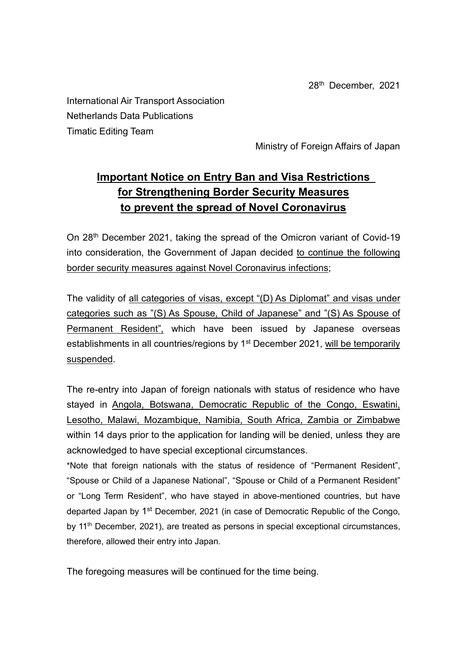28th December, 2021

International Air Transport Association Netherlands Data Publications Timatic Editing Team

Ministry of Foreign Affairs of Japan

## **Important Notice on Entry Ban and Visa Restrictions for Strengthening Border Security Measures to prevent the spread of Novel Coronavirus**

On 28th December 2021, taking the spread of the Omicron variant of Covid-19 into consideration, the Government of Japan decided to continue the following border security measures against Novel Coronavirus infections;

The validity of all categories of visas, except "(D) As Diplomat" and visas under categories such as "(S) As Spouse, Child of Japanese" and "(S) As Spouse of Permanent Resident", which have been issued by Japanese overseas establishments in all countries/regions by 1<sup>st</sup> December 2021, will be temporarily suspended.

The re-entry into Japan of foreign nationals with status of residence who have stayed in Angola, Botswana, Democratic Republic of the Congo, Eswatini, Lesotho, Malawi, Mozambique, Namibia, South Africa, Zambia or Zimbabwe within 14 days prior to the application for landing will be denied, unless they are acknowledged to have special exceptional circumstances.

\*Note that foreign nationals with the status of residence of "Permanent Resident", "Spouse or Child of a Japanese National", "Spouse or Child of a Permanent Resident" or "Long Term Resident", who have stayed in above-mentioned countries, but have departed Japan by 1<sup>st</sup> December, 2021 (in case of Democratic Republic of the Congo, by  $11<sup>th</sup>$  December, 2021), are treated as persons in special exceptional circumstances, therefore, allowed their entry into Japan.

The foregoing measures will be continued for the time being.